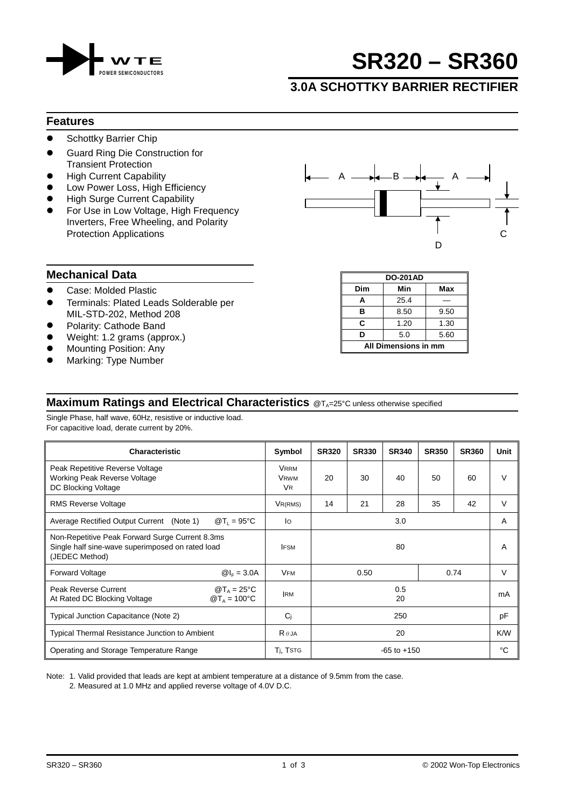

# **SR320 – SR360**

## **3.0A SCHOTTKY BARRIER RECTIFIER**

#### **Features**

- **•** Schottky Barrier Chip
- ! Guard Ring Die Construction for Transient Protection
- **High Current Capability**
- Low Power Loss, High Efficiency
- **High Surge Current Capability**
- For Use in Low Voltage, High Frequency Inverters, Free Wheeling, and Polarity



#### **Mechanical Data**

- **.** Case: Molded Plastic
- **•** Terminals: Plated Leads Solderable per MIL-STD-202, Method 208
- Polarity: Cathode Band
- Weight: 1.2 grams (approx.)
- **Mounting Position: Any**
- Marking: Type Number

#### **DO-201AD Dim Min Max A** 25.4 — **B** 8.50 9.50 **C** 1.20 1.30 **D** 5.0 5.60 **All Dimensions in mm**

### **Maximum Ratings and Electrical Characteristics** @T<sub>A</sub>=25°C unless otherwise specified

Single Phase, half wave, 60Hz, resistive or inductive load. For capacitive load, derate current by 20%.

| <b>Characteristic</b>                                                                                                 |                                                 | Symbol                                  | <b>SR320</b>    | <b>SR330</b> | <b>SR340</b> | <b>SR350</b> | <b>SR360</b> | Unit |
|-----------------------------------------------------------------------------------------------------------------------|-------------------------------------------------|-----------------------------------------|-----------------|--------------|--------------|--------------|--------------|------|
| Peak Repetitive Reverse Voltage<br><b>Working Peak Reverse Voltage</b><br>DC Blocking Voltage                         |                                                 | <b>VRRM</b><br><b>VRWM</b><br><b>VR</b> | 20              | 30           | 40           | 50           | 60           | v    |
| <b>RMS Reverse Voltage</b>                                                                                            |                                                 | $V_{R(RMS)}$                            | 14              | 21           | 28           | 35           | 42           | V    |
| $\mathcal{Q}T_1 = 95^{\circ}C$<br>Average Rectified Output Current (Note 1)                                           |                                                 | lo                                      | 3.0             |              |              |              | A            |      |
| Non-Repetitive Peak Forward Surge Current 8.3ms<br>Single half sine-wave superimposed on rated load<br>(JEDEC Method) |                                                 | <b>IFSM</b>                             | 80              |              |              | A            |              |      |
| <b>Forward Voltage</b>                                                                                                | $@I_{F} = 3.0A$                                 | <b>VFM</b>                              | 0.50<br>0.74    |              |              | V            |              |      |
| Peak Reverse Current<br>At Rated DC Blocking Voltage                                                                  | $\mathcal{D}T_A = 25^{\circ}C$<br>$@TA = 100°C$ | <b>IRM</b>                              | 0.5<br>20       |              | mA           |              |              |      |
| Typical Junction Capacitance (Note 2)                                                                                 |                                                 | Ci                                      | 250             |              |              | pF           |              |      |
| Typical Thermal Resistance Junction to Ambient                                                                        |                                                 | $R \theta$ JA                           | 20              |              |              | K/W          |              |      |
| Operating and Storage Temperature Range                                                                               |                                                 | T <sub>i</sub> , T <sub>STG</sub>       | $-65$ to $+150$ |              |              | °C           |              |      |

Note: 1. Valid provided that leads are kept at ambient temperature at a distance of 9.5mm from the case.

2. Measured at 1.0 MHz and applied reverse voltage of 4.0V D.C.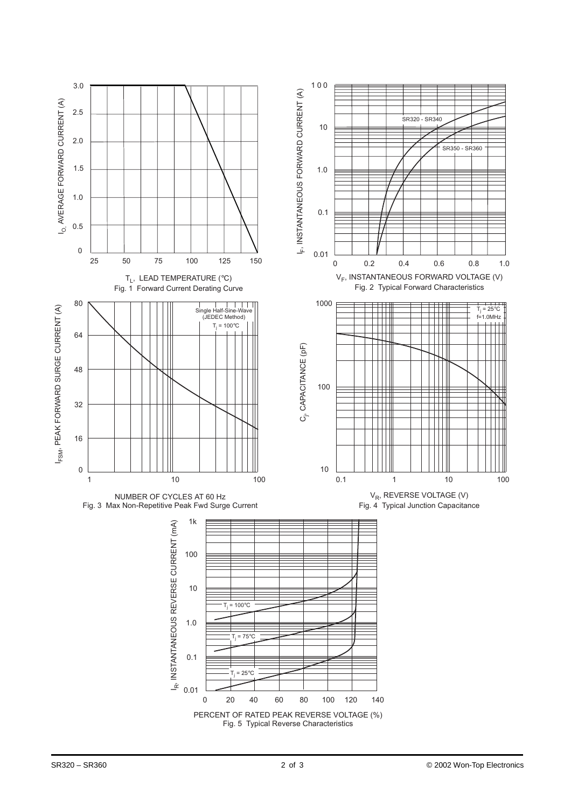